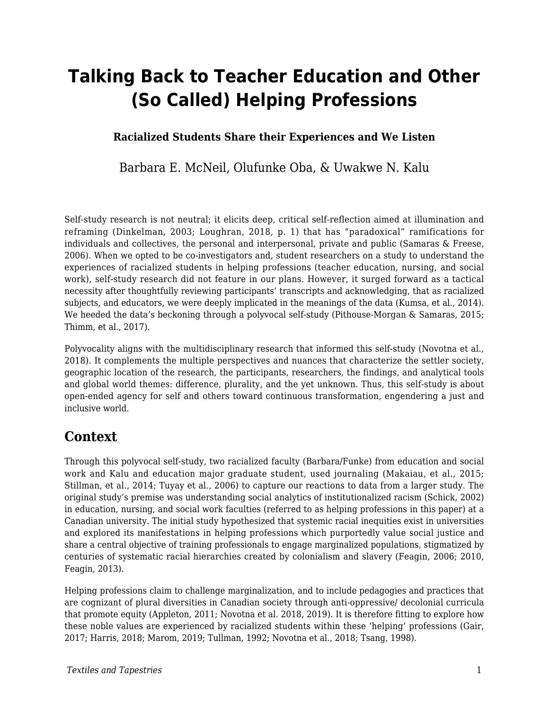# **Talking Back to Teacher Education and Other (So Called) Helping Professions**

#### **Racialized Students Share their Experiences and We Listen**

Barbara E. McNeil, Olufunke Oba, & Uwakwe N. Kalu

Self-study research is not neutral; it elicits deep, critical self-reflection aimed at illumination and reframing (Dinkelman, 2003; Loughran, 2018, p. 1) that has "paradoxical" ramifications for individuals and collectives, the personal and interpersonal, private and public (Samaras  $\&$  Freese, 2006). When we opted to be co-investigators and, student researchers on a study to understand the experiences of racialized students in helping professions (teacher education, nursing, and social work), self-study research did not feature in our plans. However, it surged forward as a tactical necessity after thoughtfully reviewing participants' transcripts and acknowledging, that as racialized subjects, and educators, we were deeply implicated in the meanings of the data (Kumsa, et al., 2014). We heeded the data's beckoning through a polyvocal self-study (Pithouse-Morgan & Samaras, 2015; Thimm, et al., 2017).

Polyvocality aligns with the multidisciplinary research that informed this self-study (Novotna et al., 2018). It complements the multiple perspectives and nuances that characterize the settler society, geographic location of the research, the participants, researchers, the findings, and analytical tools and global world themes: difference, plurality, and the yet unknown. Thus, this self-study is about open-ended agency for self and others toward continuous transformation, engendering a just and inclusive world.

### **Context**

Through this polyvocal self-study, two racialized faculty (Barbara/Funke) from education and social work and Kalu and education major graduate student, used journaling (Makaiau, et al., 2015; Stillman, et al., 2014; Tuyay et al., 2006) to capture our reactions to data from a larger study. The original study's premise was understanding social analytics of institutionalized racism (Schick, 2002) in education, nursing, and social work faculties (referred to as helping professions in this paper) at a Canadian university. The initial study hypothesized that systemic racial inequities exist in universities and explored its manifestations in helping professions which purportedly value social justice and share a central objective of training professionals to engage marginalized populations, stigmatized by centuries of systematic racial hierarchies created by colonialism and slavery (Feagin, 2006; 2010, Feagin, 2013).

Helping professions claim to challenge marginalization, and to include pedagogies and practices that are cognizant of plural diversities in Canadian society through anti-oppressive/ decolonial curricula that promote equity (Appleton, 2011; Novotna et al. 2018, 2019). It is therefore fitting to explore how these noble values are experienced by racialized students within these 'helping' professions (Gair, 2017; Harris, 2018; Marom, 2019; Tullman, 1992; Novotna et al., 2018; Tsang, 1998).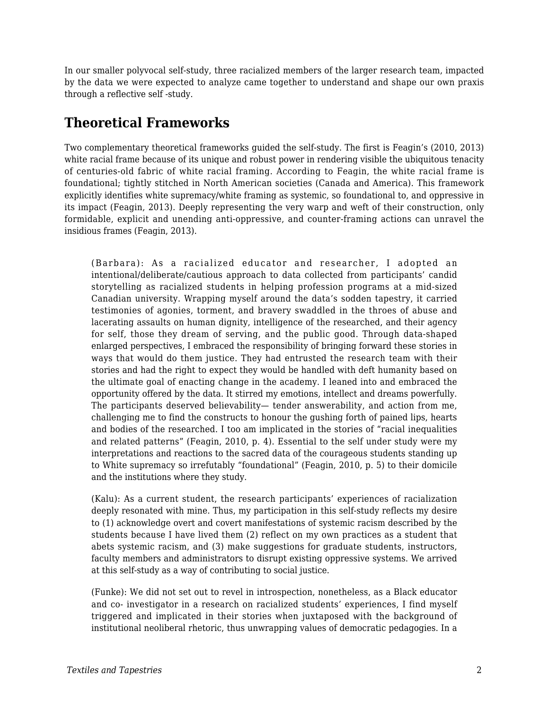In our smaller polyvocal self-study, three racialized members of the larger research team, impacted by the data we were expected to analyze came together to understand and shape our own praxis through a reflective self -study.

## **Theoretical Frameworks**

Two complementary theoretical frameworks guided the self-study. The first is Feagin's (2010, 2013) white racial frame because of its unique and robust power in rendering visible the ubiquitous tenacity of centuries-old fabric of white racial framing. According to Feagin, the white racial frame is foundational; tightly stitched in North American societies (Canada and America). This framework explicitly identifies white supremacy/white framing as systemic, so foundational to, and oppressive in its impact (Feagin, 2013). Deeply representing the very warp and weft of their construction, only formidable, explicit and unending anti-oppressive, and counter-framing actions can unravel the insidious frames (Feagin, 2013).

(Barbara): As a racialized educator and researcher, I adopted an intentional/deliberate/cautious approach to data collected from participants' candid storytelling as racialized students in helping profession programs at a mid-sized Canadian university. Wrapping myself around the data's sodden tapestry, it carried testimonies of agonies, torment, and bravery swaddled in the throes of abuse and lacerating assaults on human dignity, intelligence of the researched, and their agency for self, those they dream of serving, and the public good. Through data-shaped enlarged perspectives, I embraced the responsibility of bringing forward these stories in ways that would do them justice. They had entrusted the research team with their stories and had the right to expect they would be handled with deft humanity based on the ultimate goal of enacting change in the academy. I leaned into and embraced the opportunity offered by the data. It stirred my emotions, intellect and dreams powerfully. The participants deserved believability— tender answerability, and action from me, challenging me to find the constructs to honour the gushing forth of pained lips, hearts and bodies of the researched. I too am implicated in the stories of "racial inequalities and related patterns" (Feagin, 2010, p. 4). Essential to the self under study were my interpretations and reactions to the sacred data of the courageous students standing up to White supremacy so irrefutably "foundational" (Feagin, 2010, p. 5) to their domicile and the institutions where they study.

(Kalu): As a current student, the research participants' experiences of racialization deeply resonated with mine. Thus, my participation in this self-study reflects my desire to (1) acknowledge overt and covert manifestations of systemic racism described by the students because I have lived them (2) reflect on my own practices as a student that abets systemic racism, and (3) make suggestions for graduate students, instructors, faculty members and administrators to disrupt existing oppressive systems. We arrived at this self-study as a way of contributing to social justice.

(Funke): We did not set out to revel in introspection, nonetheless, as a Black educator and co- investigator in a research on racialized students' experiences, I find myself triggered and implicated in their stories when juxtaposed with the background of institutional neoliberal rhetoric, thus unwrapping values of democratic pedagogies. In a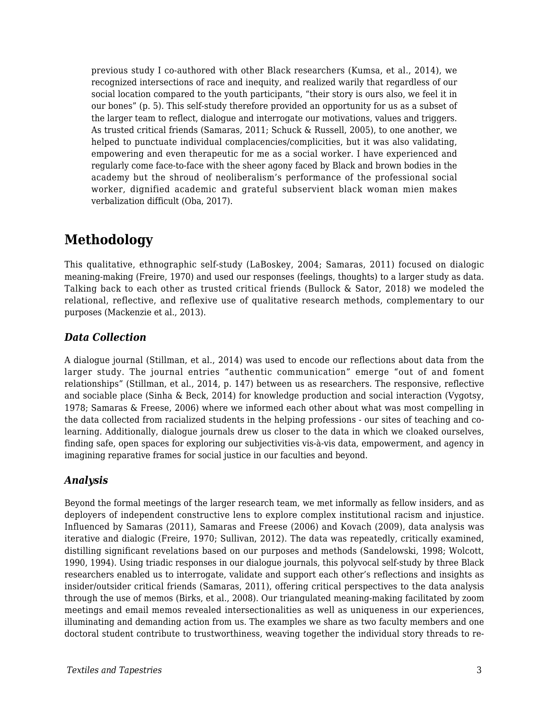previous study I co-authored with other Black researchers (Kumsa, et al., 2014), we recognized intersections of race and inequity, and realized warily that regardless of our social location compared to the youth participants, "their story is ours also, we feel it in our bones" (p. 5). This self-study therefore provided an opportunity for us as a subset of the larger team to reflect, dialogue and interrogate our motivations, values and triggers. As trusted critical friends (Samaras, 2011; Schuck & Russell, 2005), to one another, we helped to punctuate individual complacencies/complicities, but it was also validating, empowering and even therapeutic for me as a social worker. I have experienced and regularly come face-to-face with the sheer agony faced by Black and brown bodies in the academy but the shroud of neoliberalism's performance of the professional social worker, dignified academic and grateful subservient black woman mien makes verbalization difficult (Oba, 2017).

# **Methodology**

This qualitative, ethnographic self-study (LaBoskey, 2004; Samaras, 2011) focused on dialogic meaning-making (Freire, 1970) and used our responses (feelings, thoughts) to a larger study as data. Talking back to each other as trusted critical friends (Bullock & Sator, 2018) we modeled the relational, reflective, and reflexive use of qualitative research methods, complementary to our purposes (Mackenzie et al., 2013).

#### *Data Collection*

A dialogue journal (Stillman, et al., 2014) was used to encode our reflections about data from the larger study. The journal entries "authentic communication" emerge "out of and foment relationships" (Stillman, et al., 2014, p. 147) between us as researchers. The responsive, reflective and sociable place (Sinha & Beck, 2014) for knowledge production and social interaction (Vygotsy, 1978; Samaras & Freese, 2006) where we informed each other about what was most compelling in the data collected from racialized students in the helping professions - our sites of teaching and colearning. Additionally, dialogue journals drew us closer to the data in which we cloaked ourselves, finding safe, open spaces for exploring our subjectivities vis-à-vis data, empowerment, and agency in imagining reparative frames for social justice in our faculties and beyond.

#### *Analysis*

Beyond the formal meetings of the larger research team, we met informally as fellow insiders, and as deployers of independent constructive lens to explore complex institutional racism and injustice. Influenced by Samaras (2011), Samaras and Freese (2006) and Kovach (2009), data analysis was iterative and dialogic (Freire, 1970; Sullivan, 2012). The data was repeatedly, critically examined, distilling significant revelations based on our purposes and methods (Sandelowski, 1998; Wolcott, 1990, 1994). Using triadic responses in our dialogue journals, this polyvocal self-study by three Black researchers enabled us to interrogate, validate and support each other's reflections and insights as insider/outsider critical friends (Samaras, 2011), offering critical perspectives to the data analysis through the use of memos (Birks, et al., 2008). Our triangulated meaning-making facilitated by zoom meetings and email memos revealed intersectionalities as well as uniqueness in our experiences, illuminating and demanding action from us. The examples we share as two faculty members and one doctoral student contribute to trustworthiness, weaving together the individual story threads to re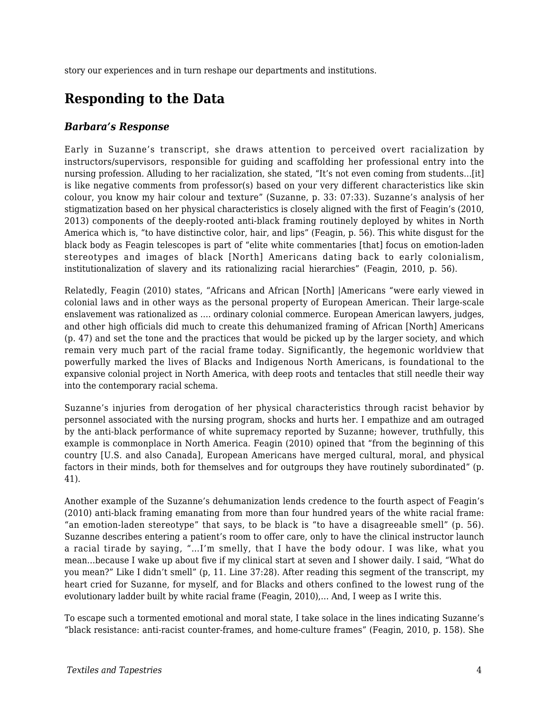story our experiences and in turn reshape our departments and institutions.

### **Responding to the Data**

#### *Barbara's Response*

Early in Suzanne's transcript, she draws attention to perceived overt racialization by instructors/supervisors, responsible for guiding and scaffolding her professional entry into the nursing profession. Alluding to her racialization, she stated, "It's not even coming from students…[it] is like negative comments from professor(s) based on your very different characteristics like skin colour, you know my hair colour and texture" (Suzanne, p. 33: 07:33). Suzanne's analysis of her stigmatization based on her physical characteristics is closely aligned with the first of Feagin's (2010, 2013) components of the deeply-rooted anti-black framing routinely deployed by whites in North America which is, "to have distinctive color, hair, and lips" (Feagin, p. 56). This white disgust for the black body as Feagin telescopes is part of "elite white commentaries [that] focus on emotion-laden stereotypes and images of black [North] Americans dating back to early colonialism, institutionalization of slavery and its rationalizing racial hierarchies" (Feagin, 2010, p. 56).

Relatedly, Feagin (2010) states, "Africans and African [North] |Americans "were early viewed in colonial laws and in other ways as the personal property of European American. Their large-scale enslavement was rationalized as …. ordinary colonial commerce. European American lawyers, judges, and other high officials did much to create this dehumanized framing of African [North] Americans (p. 47) and set the tone and the practices that would be picked up by the larger society, and which remain very much part of the racial frame today. Significantly, the hegemonic worldview that powerfully marked the lives of Blacks and Indigenous North Americans, is foundational to the expansive colonial project in North America, with deep roots and tentacles that still needle their way into the contemporary racial schema.

Suzanne's injuries from derogation of her physical characteristics through racist behavior by personnel associated with the nursing program, shocks and hurts her. I empathize and am outraged by the anti-black performance of white supremacy reported by Suzanne; however, truthfully, this example is commonplace in North America. Feagin (2010) opined that "from the beginning of this country [U.S. and also Canada], European Americans have merged cultural, moral, and physical factors in their minds, both for themselves and for outgroups they have routinely subordinated" (p. 41).

Another example of the Suzanne's dehumanization lends credence to the fourth aspect of Feagin's (2010) anti-black framing emanating from more than four hundred years of the white racial frame: "an emotion-laden stereotype" that says, to be black is "to have a disagreeable smell" (p. 56). Suzanne describes entering a patient's room to offer care, only to have the clinical instructor launch a racial tirade by saying, "…I'm smelly, that I have the body odour. I was like, what you mean…because I wake up about five if my clinical start at seven and I shower daily. I said, "What do you mean?" Like I didn't smell" (p, 11. Line 37:28). After reading this segment of the transcript, my heart cried for Suzanne, for myself, and for Blacks and others confined to the lowest rung of the evolutionary ladder built by white racial frame (Feagin, 2010),… And, I weep as I write this.

To escape such a tormented emotional and moral state, I take solace in the lines indicating Suzanne's "black resistance: anti-racist counter-frames, and home-culture frames" (Feagin, 2010, p. 158). She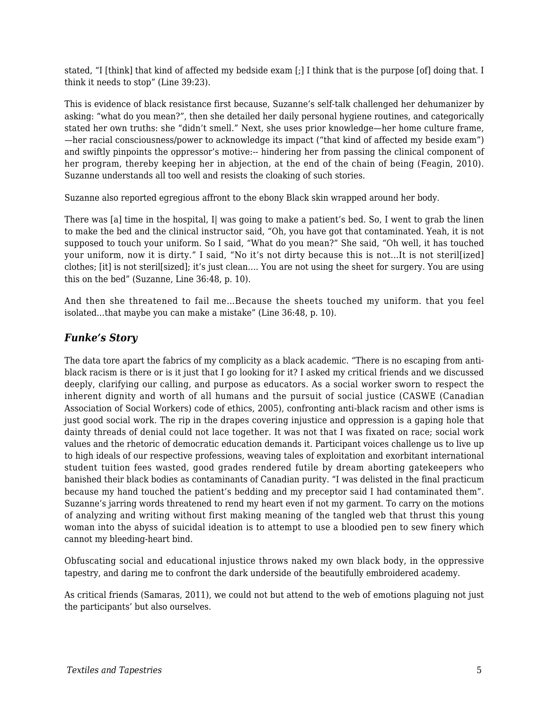stated, "I [think] that kind of affected my bedside exam [;] I think that is the purpose [of] doing that. I think it needs to stop" (Line 39:23).

This is evidence of black resistance first because, Suzanne's self-talk challenged her dehumanizer by asking: "what do you mean?", then she detailed her daily personal hygiene routines, and categorically stated her own truths: she "didn't smell." Next, she uses prior knowledge—her home culture frame, —her racial consciousness/power to acknowledge its impact ("that kind of affected my beside exam") and swiftly pinpoints the oppressor's motive:-- hindering her from passing the clinical component of her program, thereby keeping her in abjection, at the end of the chain of being (Feagin, 2010). Suzanne understands all too well and resists the cloaking of such stories.

Suzanne also reported egregious affront to the ebony Black skin wrapped around her body.

There was [a] time in the hospital, I| was going to make a patient's bed. So, I went to grab the linen to make the bed and the clinical instructor said, "Oh, you have got that contaminated. Yeah, it is not supposed to touch your uniform. So I said, "What do you mean?" She said, "Oh well, it has touched your uniform, now it is dirty." I said, "No it's not dirty because this is not…It is not steril[ized] clothes; [it] is not steril[sized]; it's just clean…. You are not using the sheet for surgery. You are using this on the bed" (Suzanne, Line 36:48, p. 10).

And then she threatened to fail me…Because the sheets touched my uniform. that you feel isolated…that maybe you can make a mistake" (Line 36:48, p. 10).

#### *Funke's Story*

The data tore apart the fabrics of my complicity as a black academic. "There is no escaping from antiblack racism is there or is it just that I go looking for it? I asked my critical friends and we discussed deeply, clarifying our calling, and purpose as educators. As a social worker sworn to respect the inherent dignity and worth of all humans and the pursuit of social justice (CASWE (Canadian Association of Social Workers) code of ethics, 2005), confronting anti-black racism and other isms is just good social work. The rip in the drapes covering injustice and oppression is a gaping hole that dainty threads of denial could not lace together. It was not that I was fixated on race; social work values and the rhetoric of democratic education demands it. Participant voices challenge us to live up to high ideals of our respective professions, weaving tales of exploitation and exorbitant international student tuition fees wasted, good grades rendered futile by dream aborting gatekeepers who banished their black bodies as contaminants of Canadian purity. "I was delisted in the final practicum because my hand touched the patient's bedding and my preceptor said I had contaminated them". Suzanne's jarring words threatened to rend my heart even if not my garment. To carry on the motions of analyzing and writing without first making meaning of the tangled web that thrust this young woman into the abyss of suicidal ideation is to attempt to use a bloodied pen to sew finery which cannot my bleeding-heart bind.

Obfuscating social and educational injustice throws naked my own black body, in the oppressive tapestry, and daring me to confront the dark underside of the beautifully embroidered academy.

As critical friends (Samaras, 2011), we could not but attend to the web of emotions plaguing not just the participants' but also ourselves.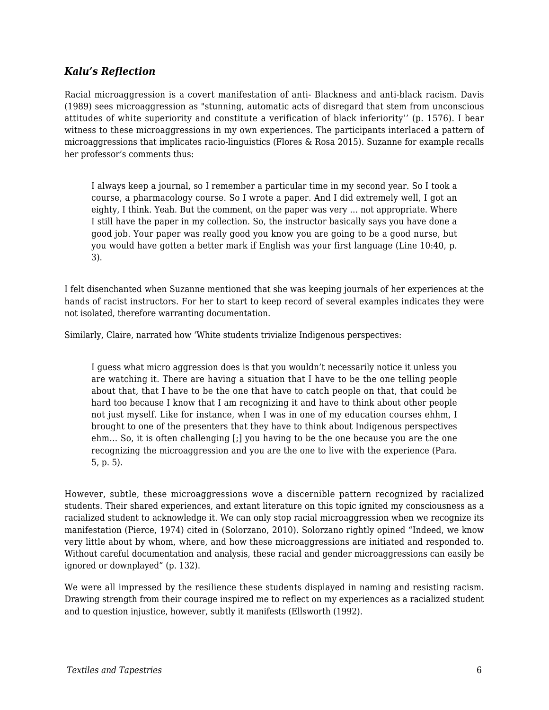#### *Kalu's Reflection*

Racial microaggression is a covert manifestation of anti- Blackness and anti-black racism. Davis (1989) sees microaggression as "stunning, automatic acts of disregard that stem from unconscious attitudes of white superiority and constitute a verification of black inferiority'' (p. 1576). I bear witness to these microaggressions in my own experiences. The participants interlaced a pattern of microaggressions that implicates racio-linguistics (Flores & Rosa 2015). Suzanne for example recalls her professor's comments thus:

I always keep a journal, so I remember a particular time in my second year. So I took a course, a pharmacology course. So I wrote a paper. And I did extremely well, I got an eighty, I think. Yeah. But the comment, on the paper was very … not appropriate. Where I still have the paper in my collection. So, the instructor basically says you have done a good job. Your paper was really good you know you are going to be a good nurse, but you would have gotten a better mark if English was your first language (Line 10:40, p. 3).

I felt disenchanted when Suzanne mentioned that she was keeping journals of her experiences at the hands of racist instructors. For her to start to keep record of several examples indicates they were not isolated, therefore warranting documentation.

Similarly, Claire, narrated how 'White students trivialize Indigenous perspectives:

I guess what micro aggression does is that you wouldn't necessarily notice it unless you are watching it. There are having a situation that I have to be the one telling people about that, that I have to be the one that have to catch people on that, that could be hard too because I know that I am recognizing it and have to think about other people not just myself. Like for instance, when I was in one of my education courses ehhm, I brought to one of the presenters that they have to think about Indigenous perspectives ehm… So, it is often challenging [;] you having to be the one because you are the one recognizing the microaggression and you are the one to live with the experience (Para. 5, p. 5).

However, subtle, these microaggressions wove a discernible pattern recognized by racialized students. Their shared experiences, and extant literature on this topic ignited my consciousness as a racialized student to acknowledge it. We can only stop racial microaggression when we recognize its manifestation (Pierce, 1974) cited in (Solorzano, 2010). Solorzano rightly opined "Indeed, we know very little about by whom, where, and how these microaggressions are initiated and responded to. Without careful documentation and analysis, these racial and gender microaggressions can easily be ignored or downplayed" (p. 132).

We were all impressed by the resilience these students displayed in naming and resisting racism. Drawing strength from their courage inspired me to reflect on my experiences as a racialized student and to question injustice, however, subtly it manifests (Ellsworth (1992).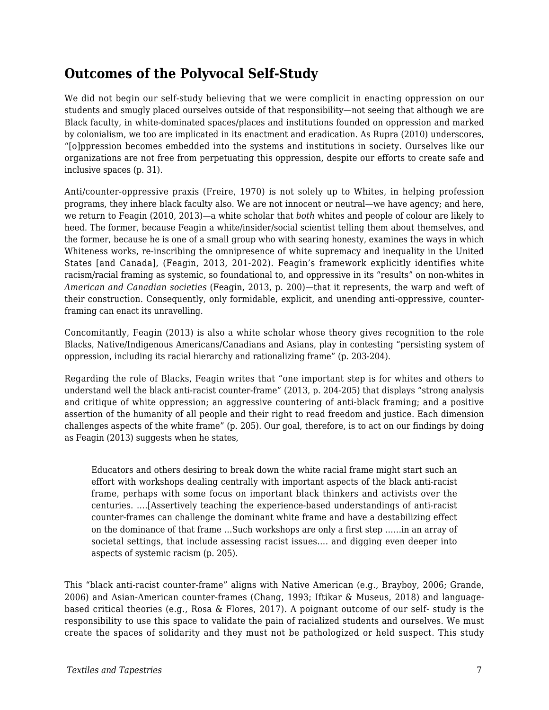### **Outcomes of the Polyvocal Self-Study**

We did not begin our self-study believing that we were complicit in enacting oppression on our students and smugly placed ourselves outside of that responsibility—not seeing that although we are Black faculty, in white-dominated spaces/places and institutions founded on oppression and marked by colonialism, we too are implicated in its enactment and eradication. As Rupra (2010) underscores, "[o]ppression becomes embedded into the systems and institutions in society. Ourselves like our organizations are not free from perpetuating this oppression, despite our efforts to create safe and inclusive spaces (p. 31).

Anti/counter-oppressive praxis (Freire, 1970) is not solely up to Whites, in helping profession programs, they inhere black faculty also. We are not innocent or neutral—we have agency; and here, we return to Feagin (2010, 2013)—a white scholar that *both* whites and people of colour are likely to heed. The former, because Feagin a white/insider/social scientist telling them about themselves, and the former, because he is one of a small group who with searing honesty, examines the ways in which Whiteness works, re-inscribing the omnipresence of white supremacy and inequality in the United States [and Canada], (Feagin, 2013, 201-202). Feagin's framework explicitly identifies white racism/racial framing as systemic, so foundational to, and oppressive in its "results" on non-whites in *American and Canadian societies* (Feagin, 2013, p. 200)—that it represents, the warp and weft of their construction. Consequently, only formidable, explicit, and unending anti-oppressive, counterframing can enact its unravelling.

Concomitantly, Feagin (2013) is also a white scholar whose theory gives recognition to the role Blacks, Native/Indigenous Americans/Canadians and Asians, play in contesting "persisting system of oppression, including its racial hierarchy and rationalizing frame" (p. 203-204).

Regarding the role of Blacks, Feagin writes that "one important step is for whites and others to understand well the black anti-racist counter-frame" (2013, p. 204-205) that displays "strong analysis and critique of white oppression; an aggressive countering of anti-black framing; and a positive assertion of the humanity of all people and their right to read freedom and justice. Each dimension challenges aspects of the white frame" (p. 205). Our goal, therefore, is to act on our findings by doing as Feagin (2013) suggests when he states,

Educators and others desiring to break down the white racial frame might start such an effort with workshops dealing centrally with important aspects of the black anti-racist frame, perhaps with some focus on important black thinkers and activists over the centuries. ….[Assertively teaching the experience-based understandings of anti-racist counter-frames can challenge the dominant white frame and have a destabilizing effect on the dominance of that frame …Such workshops are only a first step ……in an array of societal settings, that include assessing racist issues…. and digging even deeper into aspects of systemic racism (p. 205).

This "black anti-racist counter-frame" aligns with Native American (e.g., Brayboy, 2006; Grande, 2006) and Asian-American counter-frames (Chang, 1993; Iftikar & Museus, 2018) and languagebased critical theories (e.g., Rosa & Flores, 2017). A poignant outcome of our self- study is the responsibility to use this space to validate the pain of racialized students and ourselves. We must create the spaces of solidarity and they must not be pathologized or held suspect. This study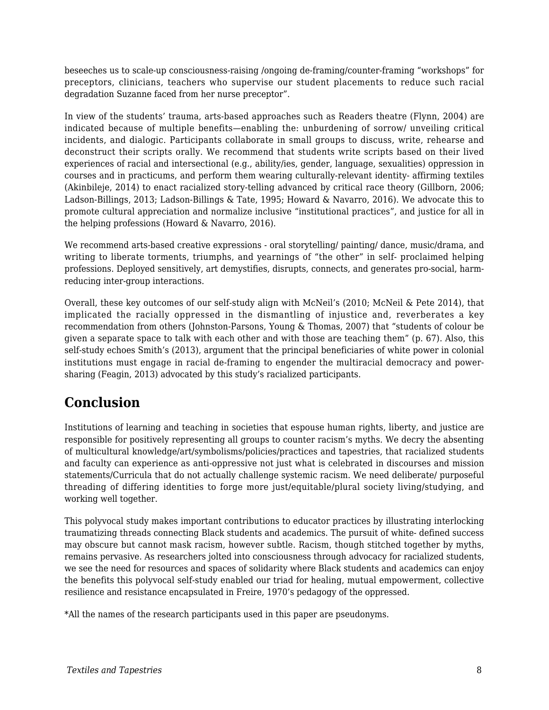beseeches us to scale-up consciousness-raising /ongoing de-framing/counter-framing "workshops" for preceptors, clinicians, teachers who supervise our student placements to reduce such racial degradation Suzanne faced from her nurse preceptor".

In view of the students' trauma, arts-based approaches such as Readers theatre (Flynn, 2004) are indicated because of multiple benefits—enabling the: unburdening of sorrow/ unveiling critical incidents, and dialogic. Participants collaborate in small groups to discuss, write, rehearse and deconstruct their scripts orally. We recommend that students write scripts based on their lived experiences of racial and intersectional (e.g., ability/ies, gender, language, sexualities) oppression in courses and in practicums, and perform them wearing culturally-relevant identity- affirming textiles (Akinbileje, 2014) to enact racialized story-telling advanced by critical race theory (Gillborn, 2006; Ladson-Billings, 2013; Ladson-Billings & Tate, 1995; Howard & Navarro, 2016). We advocate this to promote cultural appreciation and normalize inclusive "institutional practices", and justice for all in the helping professions (Howard & Navarro, 2016).

We recommend arts-based creative expressions - oral storytelling/ painting/ dance, music/drama, and writing to liberate torments, triumphs, and yearnings of "the other" in self- proclaimed helping professions. Deployed sensitively, art demystifies, disrupts, connects, and generates pro-social, harmreducing inter-group interactions.

Overall, these key outcomes of our self-study align with McNeil's (2010; McNeil & Pete 2014), that implicated the racially oppressed in the dismantling of injustice and, reverberates a key recommendation from others (Johnston-Parsons, Young & Thomas, 2007) that "students of colour be given a separate space to talk with each other and with those are teaching them" (p. 67). Also, this self-study echoes Smith's (2013), argument that the principal beneficiaries of white power in colonial institutions must engage in racial de-framing to engender the multiracial democracy and powersharing (Feagin, 2013) advocated by this study's racialized participants.

# **Conclusion**

Institutions of learning and teaching in societies that espouse human rights, liberty, and justice are responsible for positively representing all groups to counter racism's myths. We decry the absenting of multicultural knowledge/art/symbolisms/policies/practices and tapestries, that racialized students and faculty can experience as anti-oppressive not just what is celebrated in discourses and mission statements/Curricula that do not actually challenge systemic racism. We need deliberate/ purposeful threading of differing identities to forge more just/equitable/plural society living/studying, and working well together.

This polyvocal study makes important contributions to educator practices by illustrating interlocking traumatizing threads connecting Black students and academics. The pursuit of white- defined success may obscure but cannot mask racism, however subtle. Racism, though stitched together by myths, remains pervasive. As researchers jolted into consciousness through advocacy for racialized students, we see the need for resources and spaces of solidarity where Black students and academics can enjoy the benefits this polyvocal self-study enabled our triad for healing, mutual empowerment, collective resilience and resistance encapsulated in Freire, 1970's pedagogy of the oppressed.

\*All the names of the research participants used in this paper are pseudonyms.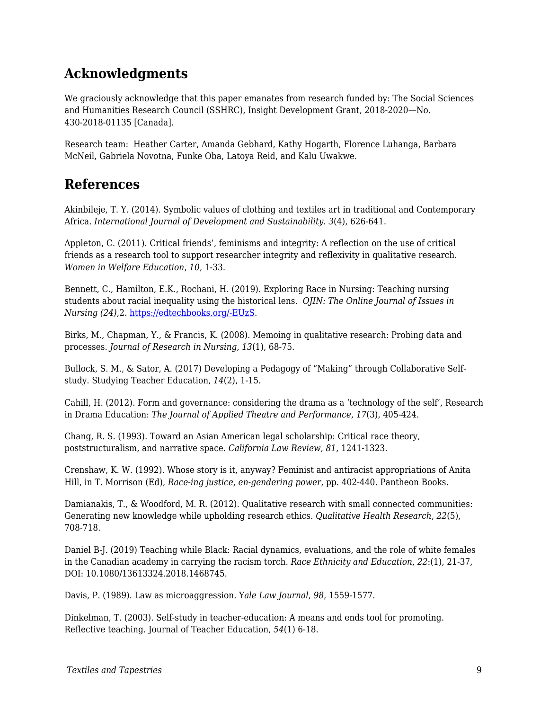# **Acknowledgments**

We graciously acknowledge that this paper emanates from research funded by: The Social Sciences and Humanities Research Council (SSHRC), Insight Development Grant, 2018-2020—No. 430-2018-01135 [Canada].

Research team: Heather Carter, Amanda Gebhard, Kathy Hogarth, Florence Luhanga, Barbara McNeil, Gabriela Novotna, Funke Oba, Latoya Reid, and Kalu Uwakwe.

### **References**

Akinbileje, T. Y. (2014). Symbolic values of clothing and textiles art in traditional and Contemporary Africa. *International Journal of Development and Sustainability*. *3*(4), 626-641.

Appleton, C. (2011). Critical friends', feminisms and integrity: A reflection on the use of critical friends as a research tool to support researcher integrity and reflexivity in qualitative research. *Women in Welfare Education*, *10*, 1-33.

Bennett, C., Hamilton, E.K., Rochani, H. (2019). Exploring Race in Nursing: Teaching nursing students about racial inequality using the historical lens. *OJIN: The Online Journal of Issues in Nursing (24)*,2. [https://edtechbooks.org/-EUzS](http://ojin.nursingworld.org/MainMenuCategories/ANAMarketplace/ANAPeriodicals/OJIN/TableofContents/Vol-24-2019/No2-May-2019/Articles-Previous-Topics/Exploring-Race-in-Nursing.html).

Birks, M., Chapman, Y., & Francis, K. (2008). Memoing in qualitative research: Probing data and processes. *Journal of Research in Nursing*, *13*(1), 68-75.

Bullock, S. M., & Sator, A. (2017) Developing a Pedagogy of "Making" through Collaborative Selfstudy. Studying Teacher Education, *14*(2), 1-15.

Cahill, H. (2012). Form and governance: considering the drama as a 'technology of the self', Research in Drama Education: *The Journal of Applied Theatre and Performance*, *17*(3), 405-424.

Chang, R. S. (1993). Toward an Asian American legal scholarship: Critical race theory, poststructuralism, and narrative space*. California Law Review*, *81*, 1241-1323.

Crenshaw, K. W. (1992). Whose story is it, anyway? Feminist and antiracist appropriations of Anita Hill, in T. Morrison (Ed), *Race-ing justice, en-gendering power*, pp. 402-440. Pantheon Books.

Damianakis, T., & Woodford, M. R. (2012). Qualitative research with small connected communities: Generating new knowledge while upholding research ethics. *Qualitative Health Research*, *22*(5), 708-718.

Daniel B-J. (2019) Teaching while Black: Racial dynamics, evaluations, and the role of white females in the Canadian academy in carrying the racism torch. *Race Ethnicity and Education*, *22*:(1), 21-37, DOI: 10.1080/13613324.2018.1468745.

Davis, P. (1989). Law as microaggression. Y*ale Law Journal*, *98*, 1559-1577.

Dinkelman, T. (2003). Self-study in teacher-education: A means and ends tool for promoting. Reflective teaching. Journal of Teacher Education, *54*(1) 6-18.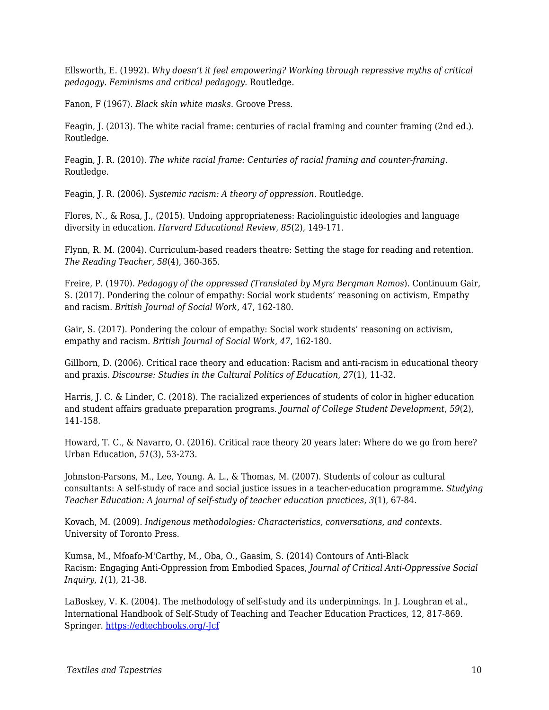Ellsworth, E. (1992). *Why doesn't it feel empowering? Working through repressive myths of critical pedagogy. Feminisms and critical pedagogy*. Routledge.

Fanon, F (1967). *Black skin white masks*. Groove Press.

Feagin, J. (2013). The white racial frame: centuries of racial framing and counter framing (2nd ed.). Routledge.

Feagin, J. R. (2010). *The white racial frame: Centuries of racial framing and counter-framing*. Routledge.

Feagin, J. R. (2006). *Systemic racism: A theory of oppression*. Routledge.

Flores, N., & Rosa, J., (2015). Undoing appropriateness: Raciolinguistic ideologies and language diversity in education. *Harvard Educational Review*, *85*(2), 149-171.

Flynn, R. M. (2004). Curriculum-based readers theatre: Setting the stage for reading and retention. *The Reading Teacher*, *58*(4), 360-365.

Freire, P. (1970). *Pedagogy of the oppressed (Translated by Myra Bergman Ramos*). Continuum Gair, S. (2017). Pondering the colour of empathy: Social work students' reasoning on activism, Empathy and racism. *British Journal of Social Work*, 47, 162-180.

Gair, S. (2017). Pondering the colour of empathy: Social work students' reasoning on activism, empathy and racism. *British Journal of Social Work*, *47*, 162-180.

Gillborn, D. (2006). Critical race theory and education: Racism and anti-racism in educational theory and praxis. *Discourse: Studies in the Cultural Politics of Education*, *27*(1), 11-32.

Harris, J. C. & Linder, C. (2018). The racialized experiences of students of color in higher education and student affairs graduate preparation programs. *Journal of College Student Development*, *59*(2), 141-158.

Howard, T. C., & Navarro, O. (2016). Critical race theory 20 years later: Where do we go from here? Urban Education, *51*(3), 53-273.

Johnston-Parsons, M., Lee, Young. A. L., & Thomas, M. (2007). Students of colour as cultural consultants: A self-study of race and social justice issues in a teacher-education programme. *Studying Teacher Education: A journal of self-study of teacher education practices, 3*(1), 67-84.

Kovach, M. (2009). *Indigenous methodologies: Characteristics, conversations, and contexts*. University of Toronto Press.

Kumsa, M., Mfoafo-M'Carthy, M., Oba, O., Gaasim, S. (2014) Contours of Anti-Black Racism: Engaging Anti-Oppression from Embodied Spaces, *Journal of Critical Anti-Oppressive Social Inquiry*, *1*(1), 21-38.

LaBoskey, V. K. (2004). The methodology of self-study and its underpinnings. In J. Loughran et al., International Handbook of Self-Study of Teaching and Teacher Education Practices, 12, 817-869. Springer. [https://edtechbooks.org/-Jcf](https://link.springer.com/book/10.1007/978-1-4020-6545-3)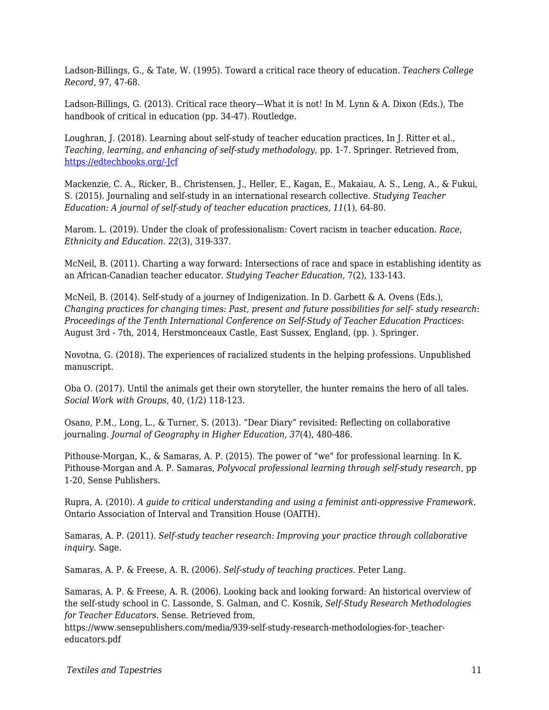Ladson-Billings, G., & Tate, W. (1995). Toward a critical race theory of education. *Teachers College Record*, 97, 47-68.

Ladson-Billings, G. (2013). Critical race theory—What it is not! In M. Lynn & A. Dixon (Eds.), The handbook of critical in education (pp. 34-47). Routledge.

Loughran, J. (2018). Learning about self-study of teacher education practices, In J. Ritter et al., *Teaching*, *learning, and enhancing of self-study methodology*, pp. 1-7. Springer. Retrieved from, [https://edtechbooks.org/-Jcf](https://link.springer.com/book/10.1007/978-1-4020-6545-3)

Mackenzie, C. A., Ricker, B., Christensen, J., Heller, E., Kagan, E., Makaiau, A. S., Leng, A., & Fukui, S. (2015). Journaling and self-study in an international research collective. *Studying Teacher Education: A journal of self-study of teacher education practices*, *11*(1), 64-80.

Marom. L. (2019). Under the cloak of professionalism: Covert racism in teacher education. *Race*, *Ethnicity and Education*. *22*(3), 319-337.

McNeil, B. (2011). Charting a way forward: Intersections of race and space in establishing identity as an African-Canadian teacher educator. *Studying Teacher Education*, 7(2), 133-143.

McNeil, B. (2014). Self-study of a journey of Indigenization. In D. Garbett & A. Ovens (Eds.), *Changing practices for changing times: Past, present and future possibilities for self- study research*: *Proceedings of the Tenth International Conference on Self-Study of Teacher Education Practices*: August 3rd - 7th, 2014, Herstmonceaux Castle, East Sussex, England, (pp. ). Springer.

Novotna, G. (2018). The experiences of racialized students in the helping professions. Unpublished manuscript.

Oba O. (2017). Until the animals get their own storyteller, the hunter remains the hero of all tales. *Social Work with Groups*, 40, (1/2) 118-123.

Osano, P.M., Long, L., & Turner, S. (2013). "Dear Diary" revisited: Reflecting on collaborative journaling. *Journal of Geography in Higher Education, 37*(4), 480-486.

Pithouse-Morgan, K., & Samaras, A. P. (2015). The power of "we" for professional learning. In K. Pithouse-Morgan and A. P. Samaras, *Polyvocal professional learning through self-study research*, pp 1-20, Sense Publishers.

Rupra, A. (2010). *A guide to critical understanding and using a feminist anti-oppressive Framework*. Ontario Association of Interval and Transition House (OAITH).

Samaras, A. P. (2011). *Self-study teacher research: Improving your practice through collaborative inquiry*. Sage.

Samaras, A. P. & Freese, A. R. (2006). *Self-study of teaching practices*. Peter Lang.

Samaras, A. P. & Freese, A. R. (2006). Looking back and looking forward: An historical overview of the self-study school in C. Lassonde, S. Galman, and C. Kosnik, *Self-Study Research Methodologies for Teacher Educators*. Sense. Retrieved from,

https://www.sensepublishers.com/media/939-self-study-research-methodologies-for- [t](https://www.sensepublishers.com/media/939-self-study-research-methodologies-for-teacher-educators.pdf)eachereducators.pdf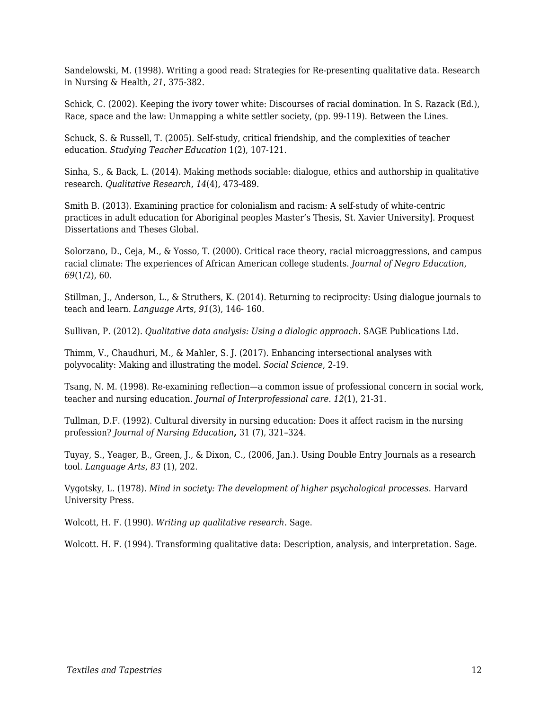Sandelowski, M. (1998). Writing a good read: Strategies for Re-presenting qualitative data. Research in Nursing & Health, *21*, 375-382.

Schick, C. (2002). Keeping the ivory tower white: Discourses of racial domination. In S. Razack (Ed.), Race, space and the law: Unmapping a white settler society, (pp. 99-119). Between the Lines.

Schuck, S. & Russell, T. (2005). Self-study, critical friendship, and the complexities of teacher education. *Studying Teacher Education* 1(2), 107-121.

Sinha, S., & Back, L. (2014). Making methods sociable: dialogue, ethics and authorship in qualitative research. *Qualitative Research*, *14*(4), 473-489.

Smith B. (2013). Examining practice for colonialism and racism: A self-study of white-centric practices in adult education for Aboriginal peoples Master's Thesis, St. Xavier University]. Proquest Dissertations and Theses Global.

Solorzano, D., Ceja, M., & Yosso, T. (2000). Critical race theory, racial microaggressions, and campus racial climate: The experiences of African American college students. *Journal of Negro Education*, *69*(1/2), 60.

Stillman, J., Anderson, L., & Struthers, K. (2014). Returning to reciprocity: Using dialogue journals to teach and learn*. Language Arts*, *91*(3), 146- 160.

Sullivan, P. (2012). *Qualitative data analysis: Using a dialogic approach*. SAGE Publications Ltd.

Thimm, V., Chaudhuri, M., & Mahler, S. J. (2017). Enhancing intersectional analyses with polyvocality: Making and illustrating the model. *Social Science*, 2-19.

Tsang, N. M. (1998). Re-examining reflection—a common issue of professional concern in social work, teacher and nursing education. *Journal of Interprofessional care*. *12*(1), 21-31.

Tullman, D.F. (1992). Cultural diversity in nursing education: Does it affect racism in the nursing profession? *Journal of Nursing Education***,** 31 (7), 321–324.

Tuyay, S., Yeager, B., Green, J., & Dixon, C., (2006, Jan.). Using Double Entry Journals as a research tool. *Language Arts*, *83* (1), 202.

Vygotsky, L. (1978). *Mind in society: The development of higher psychological processes*. Harvard University Press.

Wolcott, H. F. (1990). *Writing up qualitative research*. Sage.

Wolcott. H. F. (1994). Transforming qualitative data: Description, analysis, and interpretation. Sage.